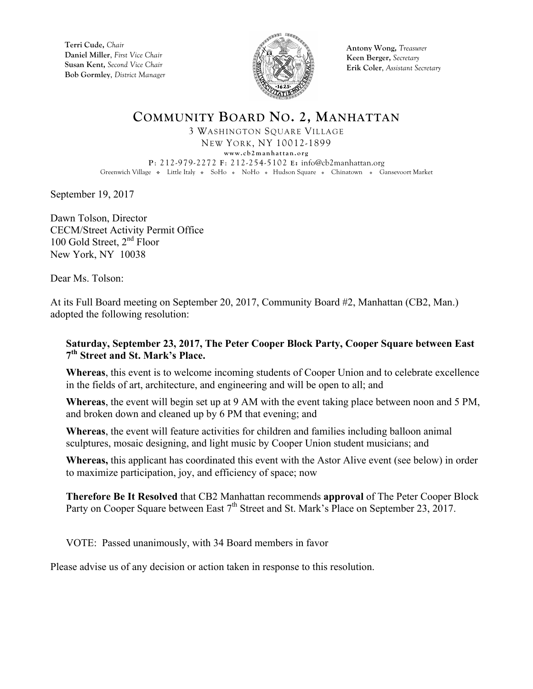**Terri Cude,** *Chair* **Daniel Miller**, *First Vice Chair* **Susan Kent,** *Second Vice Chair* **Bob Gormley**, *District Manager*



**Antony Wong,** *Treasurer* **Keen Berger,** *Secretary* **Erik Coler**, *Assistant Secretary*

## **COMMUNITY BOARD NO. 2, MANHATTAN**

3 WASHINGTON SQUARE VILLAGE NEW YORK, NY 10012-1899 **www.cb2manhattan.org P**: 212-979-2272 **F**: 212-254-5102 **E:** info@cb2manhattan.org Greenwich Village . Little Italy . SoHo . NoHo . Hudson Square . Chinatown . Gansevoort Market

September 19, 2017

Dawn Tolson, Director CECM/Street Activity Permit Office 100 Gold Street,  $2<sup>nd</sup>$  Floor New York, NY 10038

Dear Ms. Tolson:

At its Full Board meeting on September 20, 2017, Community Board #2, Manhattan (CB2, Man.) adopted the following resolution:

#### **Saturday, September 23, 2017, The Peter Cooper Block Party, Cooper Square between East 7th Street and St. Mark's Place.**

**Whereas**, this event is to welcome incoming students of Cooper Union and to celebrate excellence in the fields of art, architecture, and engineering and will be open to all; and

**Whereas**, the event will begin set up at 9 AM with the event taking place between noon and 5 PM, and broken down and cleaned up by 6 PM that evening; and

**Whereas**, the event will feature activities for children and families including balloon animal sculptures, mosaic designing, and light music by Cooper Union student musicians; and

**Whereas,** this applicant has coordinated this event with the Astor Alive event (see below) in order to maximize participation, joy, and efficiency of space; now

**Therefore Be It Resolved** that CB2 Manhattan recommends **approval** of The Peter Cooper Block Party on Cooper Square between East  $7<sup>th</sup>$  Street and St. Mark's Place on September 23, 2017.

VOTE: Passed unanimously, with 34 Board members in favor

Please advise us of any decision or action taken in response to this resolution.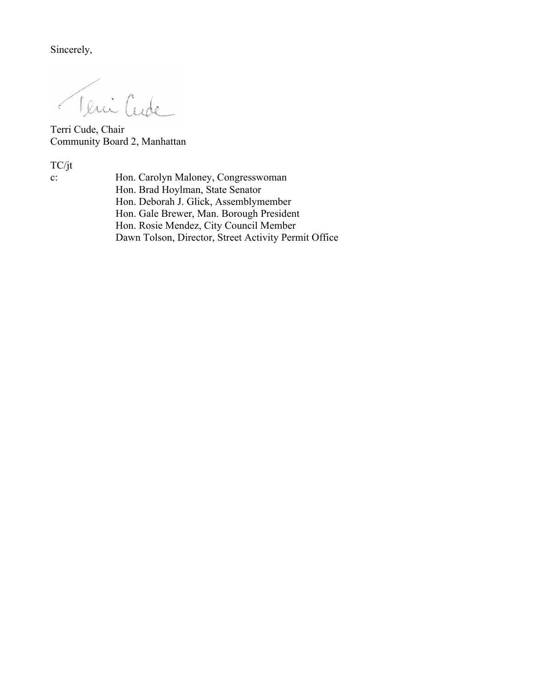Sincerely,

Veni Cude

Terri Cude, Chair Community Board 2, Manhattan

TC/jt

c: Hon. Carolyn Maloney, Congresswoman Hon. Brad Hoylman, State Senator Hon. Deborah J. Glick, Assemblymember Hon. Gale Brewer, Man. Borough President Hon. Rosie Mendez, City Council Member Dawn Tolson, Director, Street Activity Permit Office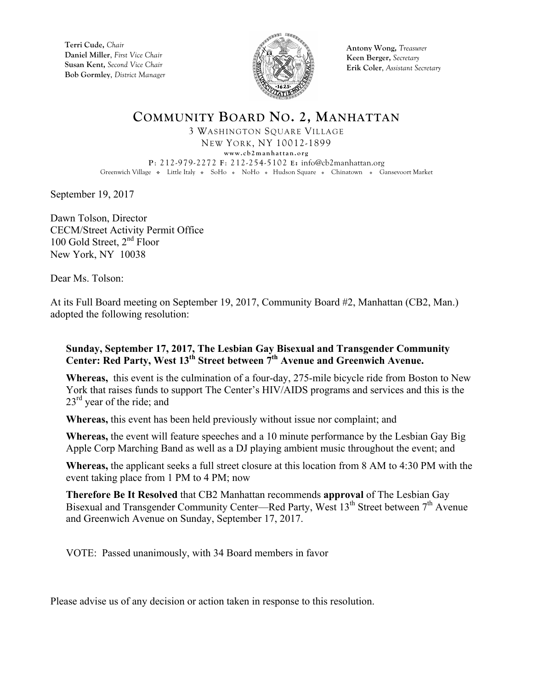**Terri Cude,** *Chair* **Daniel Miller**, *First Vice Chair* **Susan Kent,** *Second Vice Chair* **Bob Gormley**, *District Manager*



**Antony Wong,** *Treasurer* **Keen Berger,** *Secretary* **Erik Coler**, *Assistant Secretary*

# **COMMUNITY BOARD NO. 2, MANHATTAN**

3 WASHINGTON SQUARE VILLAGE NEW YORK, NY 10012-1899 **www.cb2manhattan.org P**: 212-979-2272 **F**: 212-254-5102 **E:** info@cb2manhattan.org Greenwich Village . Little Italy . SoHo . NoHo . Hudson Square . Chinatown . Gansevoort Market

September 19, 2017

Dawn Tolson, Director CECM/Street Activity Permit Office 100 Gold Street,  $2<sup>nd</sup>$  Floor New York, NY 10038

Dear Ms. Tolson:

At its Full Board meeting on September 19, 2017, Community Board #2, Manhattan (CB2, Man.) adopted the following resolution:

#### **Sunday, September 17, 2017, The Lesbian Gay Bisexual and Transgender Community Center: Red Party, West 13th Street between 7th Avenue and Greenwich Avenue.**

**Whereas,** this event is the culmination of a four-day, 275-mile bicycle ride from Boston to New York that raises funds to support The Center's HIV/AIDS programs and services and this is the  $23<sup>rd</sup>$  year of the ride; and

**Whereas,** this event has been held previously without issue nor complaint; and

**Whereas,** the event will feature speeches and a 10 minute performance by the Lesbian Gay Big Apple Corp Marching Band as well as a DJ playing ambient music throughout the event; and

**Whereas,** the applicant seeks a full street closure at this location from 8 AM to 4:30 PM with the event taking place from 1 PM to 4 PM; now

**Therefore Be It Resolved** that CB2 Manhattan recommends **approval** of The Lesbian Gay Bisexual and Transgender Community Center—Red Party, West  $13<sup>th</sup>$  Street between  $7<sup>th</sup>$  Avenue and Greenwich Avenue on Sunday, September 17, 2017.

VOTE: Passed unanimously, with 34 Board members in favor

Please advise us of any decision or action taken in response to this resolution.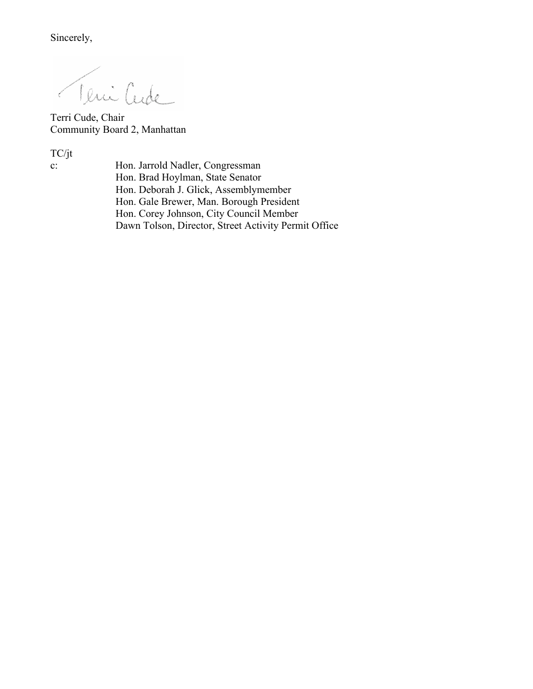Sincerely,

Teni Cude Ĉ.

Terri Cude, Chair Community Board 2, Manhattan

TC/jt<br>c:

Hon. Jarrold Nadler, Congressman Hon. Brad Hoylman, State Senator Hon. Deborah J. Glick, Assemblymember Hon. Gale Brewer, Man. Borough President Hon. Corey Johnson, City Council Member Dawn Tolson, Director, Street Activity Permit Office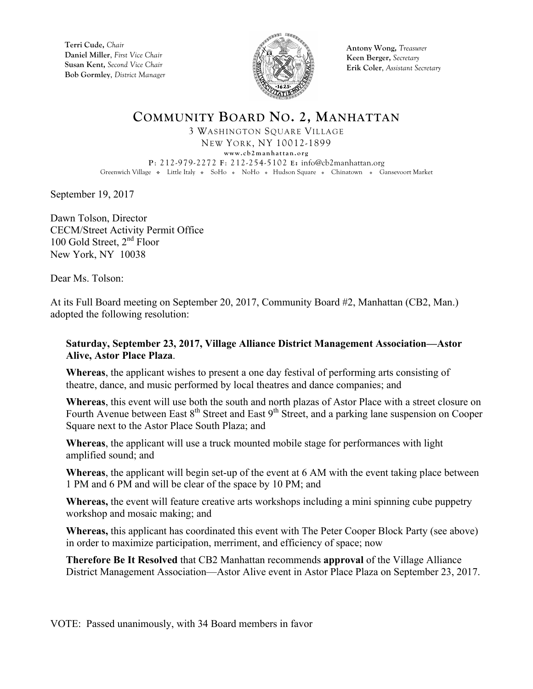**Terri Cude,** *Chair* **Daniel Miller**, *First Vice Chair* **Susan Kent,** *Second Vice Chair* **Bob Gormley**, *District Manager*



**Antony Wong,** *Treasurer* **Keen Berger,** *Secretary* **Erik Coler**, *Assistant Secretary*

### **COMMUNITY BOARD NO. 2, MANHATTAN**

3 WASHINGTON SQUARE VILLAGE NEW YORK, NY 10012-1899 **www.cb2manhattan.org P**: 212-979-2272 **F**: 212-254-5102 **E:** info@cb2manhattan.org Greenwich Village . Little Italy . SoHo . NoHo . Hudson Square . Chinatown . Gansevoort Market

September 19, 2017

Dawn Tolson, Director CECM/Street Activity Permit Office 100 Gold Street,  $2<sup>nd</sup>$  Floor New York, NY 10038

Dear Ms. Tolson:

At its Full Board meeting on September 20, 2017, Community Board #2, Manhattan (CB2, Man.) adopted the following resolution:

#### **Saturday, September 23, 2017, Village Alliance District Management Association—Astor Alive, Astor Place Plaza**.

**Whereas**, the applicant wishes to present a one day festival of performing arts consisting of theatre, dance, and music performed by local theatres and dance companies; and

**Whereas**, this event will use both the south and north plazas of Astor Place with a street closure on Fourth Avenue between East 8<sup>th</sup> Street and East 9<sup>th</sup> Street, and a parking lane suspension on Cooper Square next to the Astor Place South Plaza; and

**Whereas**, the applicant will use a truck mounted mobile stage for performances with light amplified sound; and

**Whereas**, the applicant will begin set-up of the event at 6 AM with the event taking place between 1 PM and 6 PM and will be clear of the space by 10 PM; and

**Whereas,** the event will feature creative arts workshops including a mini spinning cube puppetry workshop and mosaic making; and

**Whereas,** this applicant has coordinated this event with The Peter Cooper Block Party (see above) in order to maximize participation, merriment, and efficiency of space; now

**Therefore Be It Resolved** that CB2 Manhattan recommends **approval** of the Village Alliance District Management Association—Astor Alive event in Astor Place Plaza on September 23, 2017.

VOTE: Passed unanimously, with 34 Board members in favor